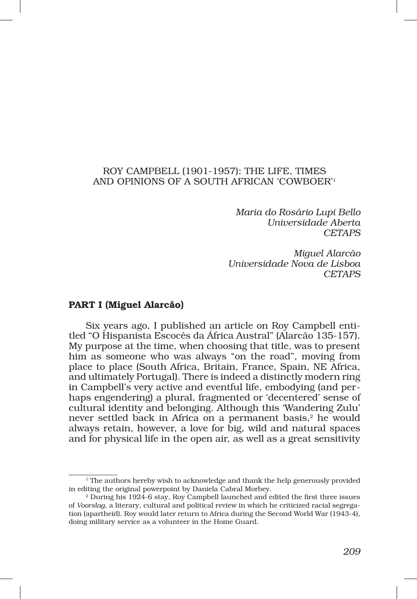## ROY CAMPBELL (1901‑1957): THE LIFE, TIMES AND OPINIONS OF A SOUTH AFRICAN 'COWBOER'1

*Maria do Rosário Lupi Bello Universidade Aberta CETAPS*

*Miguel Alarcão Universidade Nova de Lisboa CETAPS*

## PART I (Miguel Alarcão)

Six years ago, I published an article on Roy Campbell entitled "O Hispanista Escocês da África Austral" (Alarcão 135‑157). My purpose at the time, when choosing that title, was to present him as someone who was always "on the road", moving from place to place (South Africa, Britain, France, Spain, NE Africa, and ultimately Portugal). There is indeed a distinctly modern ring in Campbell's very active and eventful life, embodying (and per‑ haps engendering) a plural, fragmented or 'decentered' sense of cultural identity and belonging. Although this 'Wandering Zulu' never settled back in Africa on a permanent basis,<sup>2</sup> he would always retain, however, a love for big, wild and natural spaces and for physical life in the open air, as well as a great sensitivity

 $<sup>1</sup>$  The authors hereby wish to acknowledge and thank the help generously provided</sup> in editing the original powerpoint by Daniela Cabral Morbey. 2 During his 1924‑6 stay, Roy Campbell launched and edited the first three issues

of *Voorslag*, a literary, cultural and political review in which he criticized racial segregation (apartheid). Roy would later return to Africa during the Second World War (1943-4), doing military service as a volunteer in the Home Guard.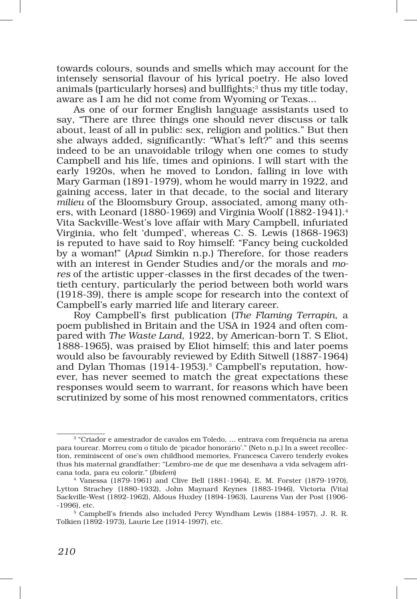towards colours, sounds and smells which may account for the intensely sensorial flavour of his lyrical poetry. He also loved animals (particularly horses) and bullfights;<sup>3</sup> thus my title today, aware as I am he did not come from Wyoming or Texas...

As one of our former English language assistants used to say, "There are three things one should never discuss or talk about, least of all in public: sex, religion and politics." But then she always added, significantly: "What's left?" and this seems indeed to be an unavoidable trilogy when one comes to study Campbell and his life, times and opinions. I will start with the early 1920s, when he moved to London, falling in love with Mary Garman (1891-1979), whom he would marry in 1922, and gaining access, later in that decade, to the social and literary *milieu* of the Bloomsbury Group, associated, among many others, with Leonard (1880-1969) and Virginia Woolf (1882-1941).<sup>4</sup> Vita Sackville‑West's love affair with Mary Campbell, infuriated Virginia, who felt 'dumped', whereas C. S. Lewis (1868‑1963) is reputed to have said to Roy himself: "Fancy being cuckolded by a woman!" (*Apud* Simkin n.p.) Therefore, for those readers with an interest in Gender Studies and/or the morals and *mo‑* res of the artistic upper-classes in the first decades of the twentieth century, particularly the period between both world wars (1918‑39), there is ample scope for research into the context of Campbell's early married life and literary career.

Roy Campbell's first publication (*The Flaming Terrapin*, a poem published in Britain and the USA in 1924 and often compared with *The Waste Land*, 1922, by American‑born T. S Eliot, 1888‑1965), was praised by Eliot himself; this and later poems would also be favourably reviewed by Edith Sitwell (1887‑1964) and Dylan Thomas (1914-1953).<sup>5</sup> Campbell's reputation, however, has never seemed to match the great expectations these responses would seem to warrant, for reasons which have been scrutinized by some of his most renowned commentators, critics

<sup>3</sup> "Criador e amestrador de cavalos em Toledo, … entrava com frequência na arena para tourear. Morreu com o título de 'picador honorário'." (Neto n.p.) In a sweet recollection, reminiscent of one's own childhood memories, Francesca Cavero tenderly evokes thus his maternal grandfather: "Lembro-me de que me desenhava a vida selvagem africana toda, para eu colorir." (*Ibidem*)

<sup>4</sup> Vanessa (1879‑1961) and Clive Bell (1881‑1964), E. M. Forster (1879‑1970), Lytton Strachey (1880‑1932), John Maynard Keynes (1883‑1946), Victoria (Vita) Sackville‑West (1892‑1962), Aldous Huxley (1894‑1963), Laurens Van der Post (1906‑ ‑1996), etc.

<sup>&</sup>lt;sup>5</sup> Campbell's friends also included Percy Wyndham Lewis (1884-1957), J. R. R. Tolkien (1892‑1973), Laurie Lee (1914‑1997), etc.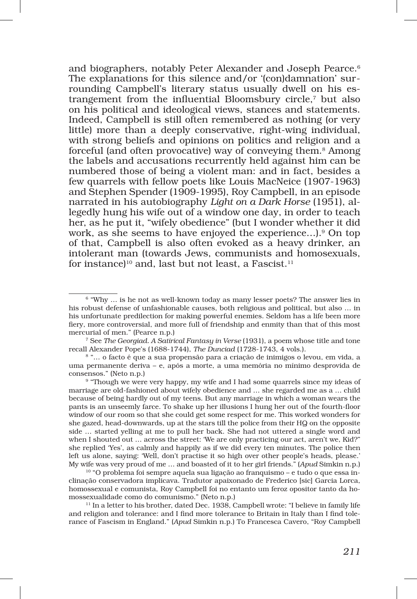and biographers, notably Peter Alexander and Joseph Pearce.<sup>6</sup> The explanations for this silence and/or '(con)damnation' surrounding Campbell's literary status usually dwell on his estrangement from the influential Bloomsbury circle,7 but also on his political and ideological views, stances and statements. Indeed, Campbell is still often remembered as nothing (or very little) more than a deeply conservative, right-wing individual, with strong beliefs and opinions on politics and religion and a forceful (and often provocative) way of conveying them.<sup>8</sup> Among the labels and accusations recurrently held against him can be numbered those of being a violent man: and in fact, besides a few quarrels with fellow poets like Louis MacNeice (1907‑1963) and Stephen Spender (1909‑1995), Roy Campbell, in an episode narrated in his autobiography *Light on a Dark Horse* (1951), al‑ legedly hung his wife out of a window one day, in order to teach her, as he put it, "wifely obedience" (but I wonder whether it did work, as she seems to have enjoyed the experience...).<sup>9</sup> On top of that, Campbell is also often evoked as a heavy drinker, an intolerant man (towards Jews, communists and homosexuals, for instance)<sup>10</sup> and, last but not least, a Fascist.<sup>11</sup>

recall Alexander Pope's (1688‑1744), *The Dunciad* (1728‑1743, 4 vols.).

 $6$  "Why ... is he not as well-known today as many lesser poets? The answer lies in his robust defense of unfashionable causes, both religious and political, but also … in his unfortunate predilection for making powerful enemies. Seldom has a life been more fiery, more controversial, and more full of friendship and enmity than that of this most mercurial of men." (Pearce n.p.)<br><sup>7</sup> See *The Georgiad. A Satirical Fantasy in Verse* (1931), a poem whose title and tone

<sup>8</sup> "… o facto é que a sua propensão para a criação de inimigos o levou, em vida, a uma permanente deriva – e, após a morte, a uma memória no mínimo desprovida de consensos." (Neto n.p.)<br><sup>9</sup> "Though we were very happy, my wife and I had some quarrels since my ideas of

marriage are old-fashioned about wifely obedience and ... she regarded me as a ... child because of being hardly out of my teens. But any marriage in which a woman wears the pants is an unseemly farce. To shake up her illusions I hung her out of the fourth‑floor window of our room so that she could get some respect for me. This worked wonders for she gazed, head‑downwards, up at the stars till the police from their HQ on the opposite side … started yelling at me to pull her back. She had not uttered a single word and when I shouted out … across the street: 'We are only practicing our act, aren't we, Kid?" she replied 'Yes', as calmly and happily as if we did every ten minutes. The police then left us alone, saying: 'Well, don't practise it so high over other people's heads, please.' My wife was very proud of me … and boasted of it to her girl friends." (*Apud* Simkin n.p.)

 $10$  "O problema foi sempre aquela sua ligação ao franquismo – e tudo o que essa inclinação conservadora implicava. Tradutor apaixonado de Frederico [sic] Garcia Lorca, homossexual e comunista, Roy Campbell foi no entanto um feroz opositor tanto da homossexualidade como do comunismo." (Neto n.p.)

<sup>&</sup>lt;sup>11</sup> In a letter to his brother, dated Dec. 1938, Campbell wrote: "I believe in family life and religion and tolerance: and I find more tolerance to Britain in Italy than I find tolerance of Fascism in England." (*Apud* Simkin n.p.) To Francesca Cavero, "Roy Campbell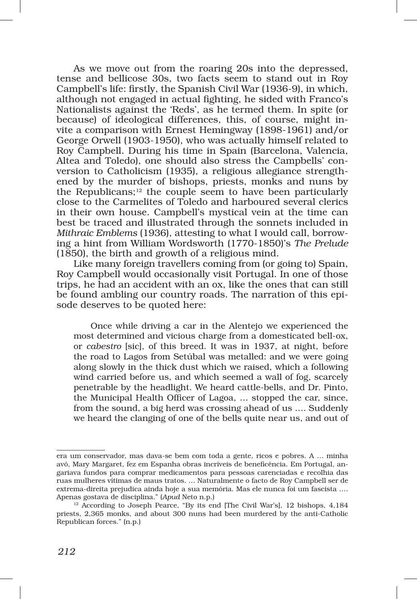As we move out from the roaring 20s into the depressed, tense and bellicose 30s, two facts seem to stand out in Roy Campbell's life: firstly, the Spanish Civil War (1936‑9), in which, although not engaged in actual fighting, he sided with Franco's Nationalists against the 'Reds', as he termed them. In spite (or because) of ideological differences, this, of course, might invite a comparison with Ernest Hemingway (1898‑1961) and/or George Orwell (1903‑1950), who was actually himself related to Roy Campbell. During his time in Spain (Barcelona, Valencia, Altea and Toledo), one should also stress the Campbells' conversion to Catholicism (1935), a religious allegiance strengthened by the murder of bishops, priests, monks and nuns by the Republicans; $12$  the couple seem to have been particularly close to the Carmelites of Toledo and harboured several clerics in their own house. Campbell's mystical vein at the time can best be traced and illustrated through the sonnets included in *Mithraic Emblems* (1936), attesting to what I would call, borrow‑ ing a hint from William Wordsworth (1770‑1850)'s *The Prelude*  (1850), the birth and growth of a religious mind.

Like many foreign travellers coming from (or going to) Spain, Roy Campbell would occasionally visit Portugal. In one of those trips, he had an accident with an ox, like the ones that can still be found ambling our country roads. The narration of this episode deserves to be quoted here:

Once while driving a car in the Alentejo we experienced the most determined and vicious charge from a domesticated bell‑ox, or *cabestro* [sic], of this breed. It was in 1937, at night, before the road to Lagos from Setúbal was metalled: and we were going along slowly in the thick dust which we raised, which a following wind carried before us, and which seemed a wall of fog, scarcely penetrable by the headlight. We heard cattle‑bells, and Dr. Pinto, the Municipal Health Officer of Lagoa, … stopped the car, since, from the sound, a big herd was crossing ahead of us …. Suddenly we heard the clanging of one of the bells quite near us, and out of

era um conservador, mas dava‑se bem com toda a gente, ricos e pobres. A … minha avó, Mary Margaret, fez em Espanha obras incríveis de beneficência. Em Portugal, an‑ gariava fundos para comprar medicamentos para pessoas carenciadas e recolhia das ruas mulheres vítimas de maus tratos. … Naturalmente o facto de Roy Campbell ser de extrema‑direita prejudica ainda hoje a sua memória. Mas ele nunca foi um fascista …. Apenas gostava de disciplina." (*Apud* Neto n.p.)

<sup>&</sup>lt;sup>12</sup> According to Joseph Pearce, "By its end [The Civil War's], 12 bishops, 4,184 priests, 2,365 monks, and about 300 nuns had been murdered by the anti‑Catholic Republican forces." (n.p.)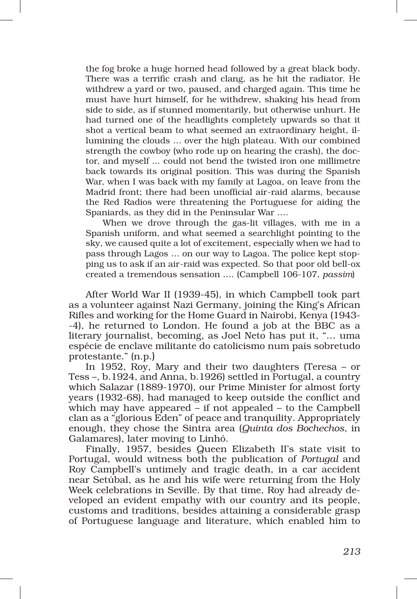the fog broke a huge horned head followed by a great black body. There was a terrific crash and clang, as he hit the radiator. He withdrew a yard or two, paused, and charged again. This time he must have hurt himself, for he withdrew, shaking his head from side to side, as if stunned momentarily, but otherwise unhurt. He had turned one of the headlights completely upwards so that it shot a vertical beam to what seemed an extraordinary height, illumining the clouds … over the high plateau. With our combined strength the cowboy (who rode up on hearing the crash), the doctor, and myself ... could not bend the twisted iron one millimetre back towards its original position. This was during the Spanish War, when I was back with my family at Lagoa, on leave from the Madrid front; there had been unofficial air-raid alarms, because the Red Radios were threatening the Portuguese for aiding the Spaniards, as they did in the Peninsular War ….

When we drove through the gas-lit villages, with me in a Spanish uniform, and what seemed a searchlight pointing to the sky, we caused quite a lot of excitement, especially when we had to pass through Lagos ... on our way to Lagoa. The police kept stopping us to ask if an air‑raid was expected. So that poor old bell‑ox created a tremendous sensation …. (Campbell 106‑107, *passim*)

After World War II (1939‑45), in which Campbell took part as a volunteer against Nazi Germany, joining the King's African Rifles and working for the Home Guard in Nairobi, Kenya (1943– ‑4), he returned to London. He found a job at the BBC as a literary journalist, becoming, as Joel Neto has put it, "… uma espécie de enclave militante do catolicismo num país sobretudo protestante." (n.p.)

In 1952, Roy, Mary and their two daughters (Teresa – or Tess –, b.1924, and Anna, b.1926) settled in Portugal, a country which Salazar (1889‑1970), our Prime Minister for almost forty years (1932‑68), had managed to keep outside the conflict and which may have appeared – if not appealed – to the Campbell clan as a "glorious Eden" of peace and tranquility. Appropriately enough, they chose the Sintra area (*Quinta dos Bochechos*, in Galamares), later moving to Linhó.

Finally, 1957, besides Queen Elizabeth II's state visit to Portugal, would witness both the publication of *Portugal* and Roy Campbell's untimely and tragic death, in a car accident near Setúbal, as he and his wife were returning from the Holy Week celebrations in Seville. By that time, Roy had already developed an evident empathy with our country and its people, customs and traditions, besides attaining a considerable grasp of Portuguese language and literature, which enabled him to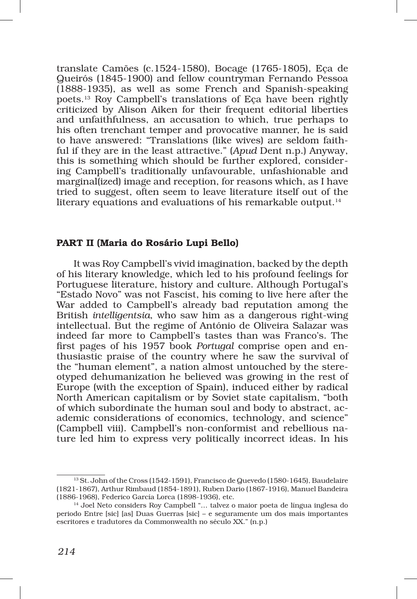translate Camões (c.1524‑1580), Bocage (1765‑1805), Eça de Queirós (1845‑1900) and fellow countryman Fernando Pessoa (1888‑1935), as well as some French and Spanish‑speaking poets.13 Roy Campbell's translations of Eça have been rightly criticized by Alison Aiken for their frequent editorial liberties and unfaithfulness, an accusation to which, true perhaps to his often trenchant temper and provocative manner, he is said to have answered: "Translations (like wives) are seldom faithful if they are in the least attractive." (*Apud* Dent n.p.) Anyway, this is something which should be further explored, considering Campbell's traditionally unfavourable, unfashionable and marginal(ized) image and reception, for reasons which, as I have tried to suggest, often seem to leave literature itself out of the literary equations and evaluations of his remarkable output.14

## PART II (Maria do Rosário Lupi Bello)

It was Roy Campbell's vivid imagination, backed by the depth of his literary knowledge, which led to his profound feelings for Portuguese literature, history and culture. Although Portugal's "Estado Novo" was not Fascist, his coming to live here after the War added to Campbell's already bad reputation among the British *intelligentsia*, who saw him as a dangerous right‑wing intellectual. But the regime of António de Oliveira Salazar was indeed far more to Campbell's tastes than was Franco's. The first pages of his 1957 book *Portugal* comprise open and en‑ thusiastic praise of the country where he saw the survival of the "human element", a nation almost untouched by the stereotyped dehumanization he believed was growing in the rest of Europe (with the exception of Spain), induced either by radical North American capitalism or by Soviet state capitalism, "both of which subordinate the human soul and body to abstract, ac‑ ademic considerations of economics, technology, and science" (Campbell viii). Campbell's non‑conformist and rebellious na‑ ture led him to express very politically incorrect ideas. In his

 $^{13}$  St. John of the Cross (1542-1591), Francisco de Quevedo (1580-1645), Baudelaire (1821‑1867), Arthur Rimbaud (1854‑1891), Ruben Dario (1867‑1916), Manuel Bandeira (1886‑1968), Federico García Lorca (1898‑1936), etc.

<sup>14</sup> Joel Neto considers Roy Campbell "… talvez o maior poeta de língua inglesa do periodo Entre [sic] [as] Duas Guerras [sic] – e seguramente um dos mais importantes escritores e tradutores da Commonwealth no século XX." (n.p.)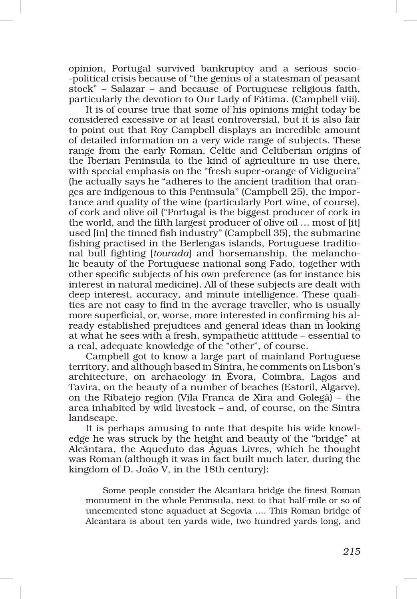opinion, Portugal survived bankruptcy and a serious socio-‑political crisis because of "the genius of a statesman of peasant stock" – Salazar – and because of Portuguese religious faith, particularly the devotion to Our Lady of Fátima. (Campbell viii).

It is of course true that some of his opinions might today be considered excessive or at least controversial, but it is also fair to point out that Roy Campbell displays an incredible amount of detailed information on a very wide range of subjects. These range from the early Roman, Celtic and Celtiberian origins of the Iberian Peninsula to the kind of agriculture in use there, with special emphasis on the "fresh super-orange of Vidigueira" (he actually says he "adheres to the ancient tradition that oran‑ ges are indigenous to this Peninsula" (Campbell 25), the impor‑ tance and quality of the wine (particularly Port wine, of course), of cork and olive oil ("Portugal is the biggest producer of cork in the world, and the fifth largest producer of olive oil … most of [it] used [in] the tinned fish industry" (Campbell 35), the submarine fishing practised in the Berlengas islands, Portuguese traditional bull fighting *[tourada]* and horsemanship, the melancholic beauty of the Portuguese national song Fado, together with other specific subjects of his own preference (as for instance his interest in natural medicine). All of these subjects are dealt with deep interest, accuracy, and minute intelligence. These qualities are not easy to find in the average traveller, who is usually more superficial, or, worse, more interested in confirming his already established prejudices and general ideas than in looking at what he sees with a fresh, sympathetic attitude – essential to a real, adequate knowledge of the "other", of course.

Campbell got to know a large part of mainland Portuguese territory, and although based in Sintra, he comments on Lisbon's architecture, on archaeology in Évora, Coimbra, Lagos and Tavira, on the beauty of a number of beaches (Estoril, Algarve), on the Ribatejo region (Vila Franca de Xira and Golegã) – the area inhabited by wild livestock – and, of course, on the Sintra landscape.

It is perhaps amusing to note that despite his wide knowledge he was struck by the height and beauty of the "bridge" at Alcântara, the Aqueduto das Águas Livres, which he thought was Roman (although it was in fact built much later, during the kingdom of D. João V, in the 18th century):

Some people consider the Alcantara bridge the finest Roman monument in the whole Peninsula, next to that half‑mile or so of uncemented stone aquaduct at Segovia …. This Roman bridge of Alcantara is about ten yards wide, two hundred yards long, and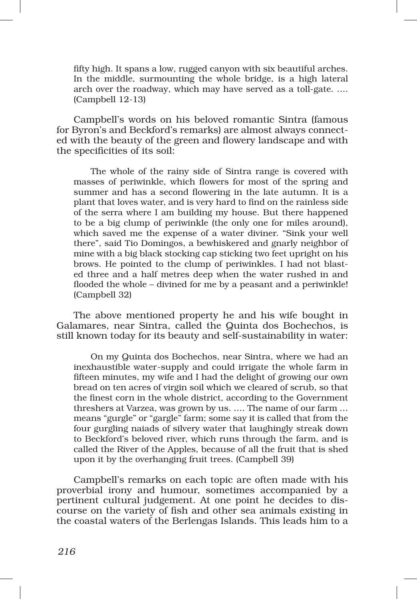fifty high. It spans a low, rugged canyon with six beautiful arches. In the middle, surmounting the whole bridge, is a high lateral arch over the roadway, which may have served as a toll-gate. .... (Campbell 12‑13)

Campbell's words on his beloved romantic Sintra (famous for Byron's and Beckford's remarks) are almost always connected with the beauty of the green and flowery landscape and with the specificities of its soil:

The whole of the rainy side of Sintra range is covered with masses of periwinkle, which flowers for most of the spring and summer and has a second flowering in the late autumn. It is a plant that loves water, and is very hard to find on the rainless side of the serra where I am building my house. But there happened to be a big clump of periwinkle (the only one for miles around), which saved me the expense of a water diviner. "Sink your well there", said Tio Domingos, a bewhiskered and gnarly neighbor of mine with a big black stocking cap sticking two feet upright on his brows. He pointed to the clump of periwinkles. I had not blasted three and a half metres deep when the water rushed in and flooded the whole – divined for me by a peasant and a periwinkle! (Campbell 32)

The above mentioned property he and his wife bought in Galamares, near Sintra, called the Quinta dos Bochechos, is still known today for its beauty and self‑sustainability in water:

On my Quinta dos Bochechos, near Sintra, where we had an inexhaustible water‑supply and could irrigate the whole farm in fifteen minutes, my wife and I had the delight of growing our own bread on ten acres of virgin soil which we cleared of scrub, so that the finest corn in the whole district, according to the Government threshers at Varzea, was grown by us. …. The name of our farm … means "gurgle" or "gargle" farm; some say it is called that from the four gurgling naiads of silvery water that laughingly streak down to Beckford's beloved river, which runs through the farm, and is called the River of the Apples, because of all the fruit that is shed upon it by the overhanging fruit trees. (Campbell 39)

Campbell's remarks on each topic are often made with his proverbial irony and humour, sometimes accompanied by a pertinent cultural judgement. At one point he decides to discourse on the variety of fish and other sea animals existing in the coastal waters of the Berlengas Islands. This leads him to a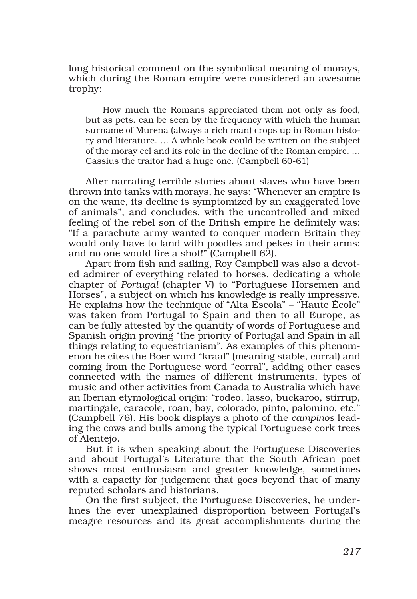long historical comment on the symbolical meaning of morays, which during the Roman empire were considered an awesome trophy:

How much the Romans appreciated them not only as food, but as pets, can be seen by the frequency with which the human surname of Murena (always a rich man) crops up in Roman history and literature. … A whole book could be written on the subject of the moray eel and its role in the decline of the Roman empire. … Cassius the traitor had a huge one. (Campbell 60‑61)

After narrating terrible stories about slaves who have been thrown into tanks with morays, he says: "Whenever an empire is on the wane, its decline is symptomized by an exaggerated love of animals", and concludes, with the uncontrolled and mixed feeling of the rebel son of the British empire he definitely was: "If a parachute army wanted to conquer modern Britain they would only have to land with poodles and pekes in their arms: and no one would fire a shot!" (Campbell 62).

Apart from fish and sailing, Roy Campbell was also a devoted admirer of everything related to horses, dedicating a whole chapter of *Portugal* (chapter V) to "Portuguese Horsemen and Horses", a subject on which his knowledge is really impressive. He explains how the technique of "Alta Escola" – "Haute École" was taken from Portugal to Spain and then to all Europe, as can be fully attested by the quantity of words of Portuguese and Spanish origin proving "the priority of Portugal and Spain in all things relating to equestrianism". As examples of this phenom‑ enon he cites the Boer word "kraal" (meaning stable, corral) and coming from the Portuguese word "corral", adding other cases connected with the names of different instruments, types of music and other activities from Canada to Australia which have an Iberian etymological origin: "rodeo, lasso, buckaroo, stirrup, martingale, caracole, roan, bay, colorado, pinto, palomino, etc." (Campbell 76). His book displays a photo of the *campinos* lead‑ ing the cows and bulls among the typical Portuguese cork trees of Alentejo.

But it is when speaking about the Portuguese Discoveries and about Portugal's Literature that the South African poet shows most enthusiasm and greater knowledge, sometimes with a capacity for judgement that goes beyond that of many reputed scholars and historians.

On the first subject, the Portuguese Discoveries, he underlines the ever unexplained disproportion between Portugal's meagre resources and its great accomplishments during the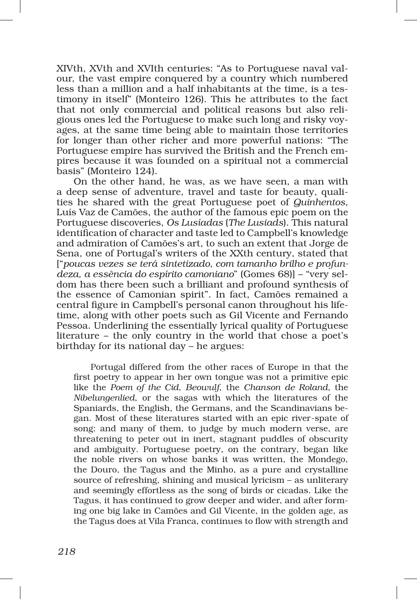XIVth, XVth and XVIth centuries: "As to Portuguese naval valour, the vast empire conquered by a country which numbered less than a million and a half inhabitants at the time, is a testimony in itself" (Monteiro 126). This he attributes to the fact that not only commercial and political reasons but also religious ones led the Portuguese to make such long and risky voyages, at the same time being able to maintain those territories for longer than other richer and more powerful nations: "The Portuguese empire has survived the British and the French em‑ pires because it was founded on a spiritual not a commercial basis" (Monteiro 124).

On the other hand, he was, as we have seen, a man with a deep sense of adventure, travel and taste for beauty, qualities he shared with the great Portuguese poet of *Quinhentos*, Luís Vaz de Camões, the author of the famous epic poem on the Portuguese discoveries, *Os Lusíadas* (*The Lusiads*). This natural identification of character and taste led to Campbell's knowledge and admiration of Camões's art, to such an extent that Jorge de Sena, one of Portugal's writers of the XXth century, stated that ["*poucas vezes se terá sintetizado, com tamanho brilho e profun‑ deza, a essência do espírito camoniano*" (Gomes 68)] – "very sel‑ dom has there been such a brilliant and profound synthesis of the essence of Camonian spirit". In fact, Camões remained a central figure in Campbell's personal canon throughout his lifetime, along with other poets such as Gil Vicente and Fernando Pessoa. Underlining the essentially lyrical quality of Portuguese literature – the only country in the world that chose a poet's birthday for its national day – he argues:

Portugal differed from the other races of Europe in that the first poetry to appear in her own tongue was not a primitive epic like the *Poem of the Cid*, *Beowulf*, the *Chanson de Roland*, the *Nibelungenlied*, or the sagas with which the literatures of the Spaniards, the English, the Germans, and the Scandinavians began. Most of these literatures started with an epic river‑spate of song: and many of them, to judge by much modern verse, are threatening to peter out in inert, stagnant puddles of obscurity and ambiguity. Portuguese poetry, on the contrary, began like the noble rivers on whose banks it was written, the Mondego, the Douro, the Tagus and the Minho, as a pure and crystalline source of refreshing, shining and musical lyricism – as unliterary and seemingly effortless as the song of birds or cicadas. Like the Tagus, it has continued to grow deeper and wider, and after forming one big lake in Camões and Gil Vicente, in the golden age, as the Tagus does at Vila Franca, continues to flow with strength and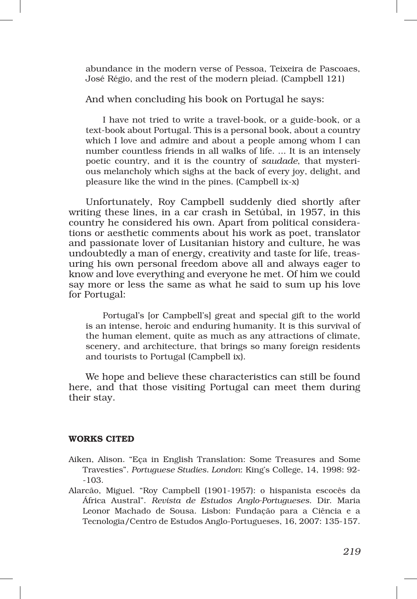abundance in the modern verse of Pessoa, Teixeira de Pascoaes, José Régio, and the rest of the modern pleiad. (Campbell 121)

And when concluding his book on Portugal he says:

I have not tried to write a travel-book, or a guide-book, or a text‑book about Portugal. This is a personal book, about a country which I love and admire and about a people among whom I can number countless friends in all walks of life. ... It is an intensely poetic country, and it is the country of *saudade*, that mysterious melancholy which sighs at the back of every joy, delight, and pleasure like the wind in the pines. (Campbell ix‑x)

Unfortunately, Roy Campbell suddenly died shortly after writing these lines, in a car crash in Setúbal, in 1957, in this country he considered his own. Apart from political considerations or aesthetic comments about his work as poet, translator and passionate lover of Lusitanian history and culture, he was undoubtedly a man of energy, creativity and taste for life, treasuring his own personal freedom above all and always eager to know and love everything and everyone he met. Of him we could say more or less the same as what he said to sum up his love for Portugal:

Portugal's [or Campbell's] great and special gift to the world is an intense, heroic and enduring humanity. It is this survival of the human element, quite as much as any attractions of climate, scenery, and architecture, that brings so many foreign residents and tourists to Portugal (Campbell ix).

We hope and believe these characteristics can still be found here, and that those visiting Portugal can meet them during their stay.

## Works cited

- Aiken, Alison. "Eça in English Translation: Some Treasures and Some Travesties". *Portuguese Studies. London*: King's College, 14, 1998: 92‑ ‑103.
- Alarcão, Miguel. "Roy Campbell (1901‑1957): o hispanista escocês da África Austral". *Revista de Estudos Anglo‑Portugueses*. Dir. Maria Leonor Machado de Sousa. Lisbon: Fundação para a Ciência e a Tecnologia/Centro de Estudos Anglo‑Portugueses, 16, 2007: 135‑157.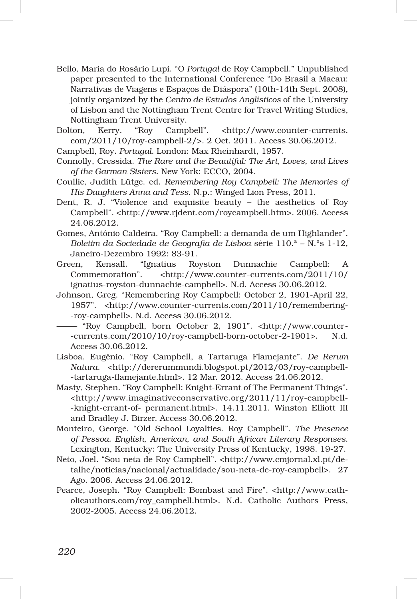- Bello, Maria do Rosário Lupi. "O *Portugal* de Roy Campbell." Unpublished paper presented to the International Conference "Do Brasil a Macau: Narrativas de Viagens e Espaços de Diáspora" (10th‑14th Sept. 2008), jointly organized by the *Centro de Estudos Anglísticos* of the University of Lisbon and the Nottingham Trent Centre for Travel Writing Studies, Nottingham Trent University.
- Bolton, Kerry. "Roy Campbell". <http://www.counter-currents. com/2011/10/roy‑campbell‑2/>. 2 Oct. 2011. Access 30.06.2012.
- Campbell, Roy. *Portugal.* London: Max Rheinhardt, 1957.
- Connolly, Cressida. *The Rare and the Beautiful: The Art, Loves, and Lives of the Garman Sisters*. New York: ECCO, 2004.
- Coullie, Judith Lütge. ed. *Remembering Roy Campbell: The Memories of His Daughters Anna and Tess*. N.p.: Winged Lion Press, 2011.
- Dent, R. J. "Violence and exquisite beauty the aesthetics of Roy Campbell". <http://www.rjdent.com/roycampbell.htm>. 2006. Access 24.06.2012.
- Gomes, António Caldeira. "Roy Campbell: a demanda de um Highlander". *Boletim da Sociedade de Geografia de Lisboa* série 110.ª – N.ºs 1‑12, Janeiro‑Dezembro 1992: 83‑91.
- Green, Kensall. "Ignatius Royston Dunnachie Campbell: A Commemoration". <http://www.counter‑currents.com/2011/10/ ignatius‑royston‑dunnachie‑campbell>. N.d. Access 30.06.2012.
- Johnson, Greg. "Remembering Roy Campbell: October 2, 1901‑April 22, 1957". <http://www.counter‑currents.com/2011/10/remembering‑ ‑roy‑campbell>. N.d. Access 30.06.2012.
- "Roy Campbell, born October 2, 1901". <http://www.counter-<br>currents.com/2010/10/roy-campbell-born-october-2-1901>. N.d. ‑currents.com/2010/10/roy‑campbell‑born‑october‑2‑1901>. N.d. Access 30.06.2012.
- Lisboa, Eugénio. "Roy Campbell, a Tartaruga Flamejante". *De Rerum Natura.* <http://dererummundi.blogspot.pt/2012/03/roy-campbell-‑tartaruga‑flamejante.html>. 12 Mar. 2012. Access 24.06.2012.
- Masty, Stephen. "Roy Campbell: Knight‑Errant of The Permanent Things". <http://www.imaginativeconservative.org/2011/11/roy‑campbell‑ ‑knight‑errant‑of‑ permanent.html>. 14.11.2011. Winston Elliott III and Bradley J. Birzer. Access 30.06.2012.
- Monteiro, George. "Old School Loyalties. Roy Campbell". *The Presence of Pessoa. English, American, and South African Literary Responses*. Lexington, Kentucky: The University Press of Kentucky, 1998. 19-27.
- Neto, Joel. "Sou neta de Roy Campbell". <http://www.cmjornal.xl.pt/detalhe/noticias/nacional/actualidade/sou‑neta‑de‑roy‑campbell>. 27 Ago. 2006. Access 24.06.2012.
- Pearce, Joseph. "Roy Campbell: Bombast and Fire". <http://www.catholicauthors.com/roy\_campbell.html>. N.d. Catholic Authors Press, 2002‑2005. Access 24.06.2012.